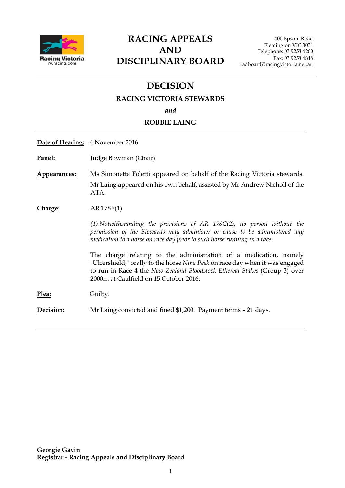

# **RACING APPEALS AND DISCIPLINARY BOARD**

# **DECISION**

#### **RACING VICTORIA STEWARDS**

*and*

#### **ROBBIE LAING**

| <b>Date of Hearing:</b> 4 November 2016                                                                                                                                                                                                                                   |
|---------------------------------------------------------------------------------------------------------------------------------------------------------------------------------------------------------------------------------------------------------------------------|
| Judge Bowman (Chair).                                                                                                                                                                                                                                                     |
| Ms Simonette Foletti appeared on behalf of the Racing Victoria stewards.<br>Mr Laing appeared on his own behalf, assisted by Mr Andrew Nicholl of the<br>ATA.                                                                                                             |
| AR 178E(1)                                                                                                                                                                                                                                                                |
| $(1)$ Notwithstanding the provisions of AR 178C $(2)$ , no person without the<br>permission of the Stewards may administer or cause to be administered any<br>medication to a horse on race day prior to such horse running in a race.                                    |
| The charge relating to the administration of a medication, namely<br>"Ulcershield," orally to the horse Nina Peak on race day when it was engaged<br>to run in Race 4 the New Zealand Bloodstock Ethereal Stakes (Group 3) over<br>2000m at Caulfield on 15 October 2016. |
| Guilty.                                                                                                                                                                                                                                                                   |
| Mr Laing convicted and fined \$1,200. Payment terms – 21 days.                                                                                                                                                                                                            |
|                                                                                                                                                                                                                                                                           |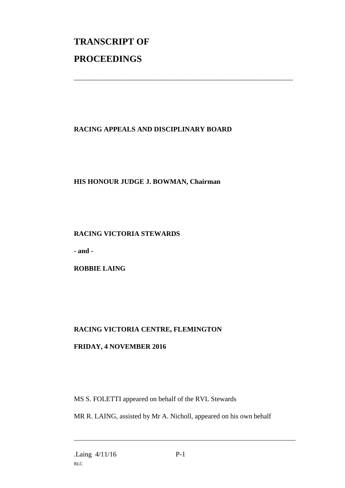# **TRANSCRIPT OF PROCEEDINGS**

# **RACING APPEALS AND DISCIPLINARY BOARD**

\_\_\_\_\_\_\_\_\_\_\_\_\_\_\_\_\_\_\_\_\_\_\_\_\_\_\_\_\_\_\_\_\_\_\_\_\_\_\_\_\_\_\_\_\_\_\_\_\_\_\_\_\_\_\_\_\_\_\_\_\_\_\_

### **HIS HONOUR JUDGE J. BOWMAN, Chairman**

#### **RACING VICTORIA STEWARDS**

**- and -**

**ROBBIE LAING** 

# **RACING VICTORIA CENTRE, FLEMINGTON**

## **FRIDAY, 4 NOVEMBER 2016**

MS S. FOLETTI appeared on behalf of the RVL Stewards

MR R. LAING, assisted by Mr A. Nicholl, appeared on his own behalf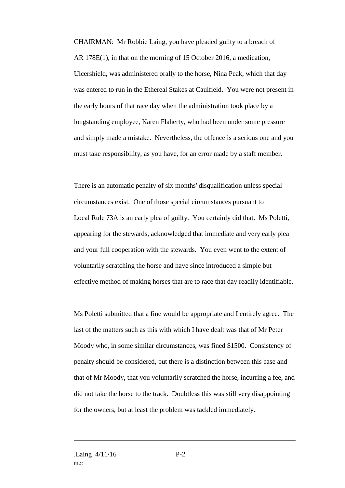CHAIRMAN: Mr Robbie Laing, you have pleaded guilty to a breach of AR 178E(1), in that on the morning of 15 October 2016, a medication, Ulcershield, was administered orally to the horse, Nina Peak, which that day was entered to run in the Ethereal Stakes at Caulfield. You were not present in the early hours of that race day when the administration took place by a longstanding employee, Karen Flaherty, who had been under some pressure and simply made a mistake. Nevertheless, the offence is a serious one and you must take responsibility, as you have, for an error made by a staff member.

There is an automatic penalty of six months' disqualification unless special circumstances exist. One of those special circumstances pursuant to Local Rule 73A is an early plea of guilty. You certainly did that. Ms Poletti, appearing for the stewards, acknowledged that immediate and very early plea and your full cooperation with the stewards. You even went to the extent of voluntarily scratching the horse and have since introduced a simple but effective method of making horses that are to race that day readily identifiable.

Ms Poletti submitted that a fine would be appropriate and I entirely agree. The last of the matters such as this with which I have dealt was that of Mr Peter Moody who, in some similar circumstances, was fined \$1500. Consistency of penalty should be considered, but there is a distinction between this case and that of Mr Moody, that you voluntarily scratched the horse, incurring a fee, and did not take the horse to the track. Doubtless this was still very disappointing for the owners, but at least the problem was tackled immediately.